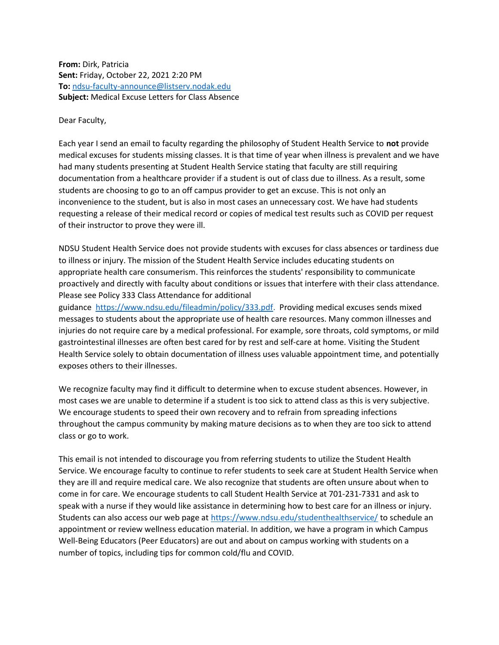From: Dirk, Patricia Sent: Friday, October 22, 2021 2:20 PM To: ndsu-faculty-announce@listserv.nodak.edu Subject: Medical Excuse Letters for Class Absence

Dear Faculty,

Each year I send an email to faculty regarding the philosophy of Student Health Service to not provide medical excuses for students missing classes. It is that time of year when illness is prevalent and we have had many students presenting at Student Health Service stating that faculty are still requiring documentation from a healthcare provider if a student is out of class due to illness. As a result, some students are choosing to go to an off campus provider to get an excuse. This is not only an inconvenience to the student, but is also in most cases an unnecessary cost. We have had students requesting a release of their medical record or copies of medical test results such as COVID per request of their instructor to prove they were ill.

NDSU Student Health Service does not provide students with excuses for class absences or tardiness due to illness or injury. The mission of the Student Health Service includes educating students on appropriate health care consumerism. This reinforces the students' responsibility to communicate proactively and directly with faculty about conditions or issues that interfere with their class attendance. Please see Policy 333 Class Attendance for additional

guidance https://www.ndsu.edu/fileadmin/policy/333.pdf. Providing medical excuses sends mixed messages to students about the appropriate use of health care resources. Many common illnesses and injuries do not require care by a medical professional. For example, sore throats, cold symptoms, or mild gastrointestinal illnesses are often best cared for by rest and self-care at home. Visiting the Student Health Service solely to obtain documentation of illness uses valuable appointment time, and potentially exposes others to their illnesses.

We recognize faculty may find it difficult to determine when to excuse student absences. However, in most cases we are unable to determine if a student is too sick to attend class as this is very subjective. We encourage students to speed their own recovery and to refrain from spreading infections throughout the campus community by making mature decisions as to when they are too sick to attend class or go to work.

This email is not intended to discourage you from referring students to utilize the Student Health Service. We encourage faculty to continue to refer students to seek care at Student Health Service when they are ill and require medical care. We also recognize that students are often unsure about when to come in for care. We encourage students to call Student Health Service at 701-231-7331 and ask to speak with a nurse if they would like assistance in determining how to best care for an illness or injury. Students can also access our web page at https://www.ndsu.edu/studenthealthservice/ to schedule an appointment or review wellness education material. In addition, we have a program in which Campus Well-Being Educators (Peer Educators) are out and about on campus working with students on a number of topics, including tips for common cold/flu and COVID.